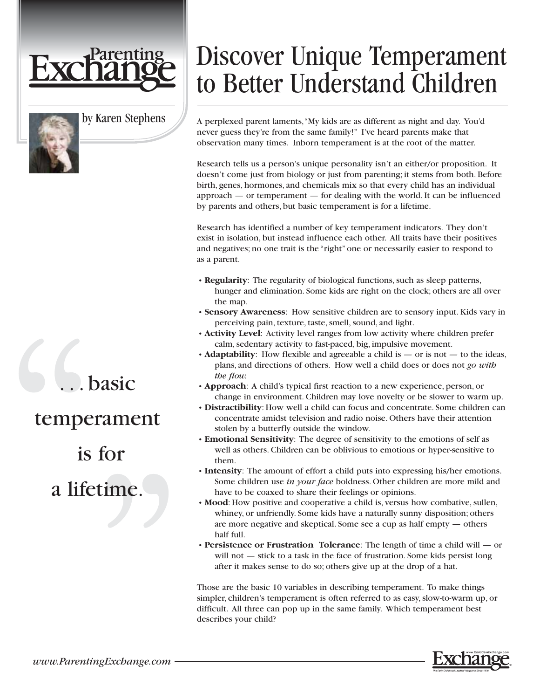

### by Karen Stephens

## hasic

### temperament

### is for

## a lifetime.

# Discover Unique Temperament to Better Understand Children

A perplexed parent laments,"My kids are as different as night and day. You'd never guess they're from the same family!" I've heard parents make that observation many times. Inborn temperament is at the root of the matter.

Research tells us a person's unique personality isn't an either/or proposition. It doesn't come just from biology or just from parenting; it stems from both. Before birth, genes, hormones, and chemicals mix so that every child has an individual approach — or temperament — for dealing with the world. It can be influenced by parents and others, but basic temperament is for a lifetime.

Research has identified a number of key temperament indicators. They don't exist in isolation, but instead influence each other. All traits have their positives and negatives; no one trait is the "right" one or necessarily easier to respond to as a parent.

- **Regularity**: The regularity of biological functions, such as sleep patterns, hunger and elimination. Some kids are right on the clock; others are all over the map.
- **Sensory Awareness**: How sensitive children are to sensory input. Kids vary in perceiving pain, texture, taste, smell, sound, and light.
- **Activity Level**: Activity level ranges from low activity where children prefer calm, sedentary activity to fast-paced, big, impulsive movement.
- **Adaptability**: How flexible and agreeable a child is or is not to the ideas, plans, and directions of others. How well a child does or does not *go with the flow.*
- **Approach**: A child's typical first reaction to a new experience, person, or change in environment. Children may love novelty or be slower to warm up.
- **Distractibility**: How well a child can focus and concentrate. Some children can concentrate amidst television and radio noise. Others have their attention stolen by a butterfly outside the window.
- **Emotional Sensitivity**: The degree of sensitivity to the emotions of self as well as others. Children can be oblivious to emotions or hyper-sensitive to them.
- **Intensity**: The amount of effort a child puts into expressing his/her emotions. Some children use *in your face* boldness. Other children are more mild and have to be coaxed to share their feelings or opinions.
- **Mood**: How positive and cooperative a child is, versus how combative, sullen, whiney, or unfriendly. Some kids have a naturally sunny disposition; others are more negative and skeptical. Some see a cup as half empty — others half full.
- **Persistence or Frustration Tolerance**: The length of time a child will or will not — stick to a task in the face of frustration. Some kids persist long after it makes sense to do so; others give up at the drop of a hat.

Those are the basic 10 variables in describing temperament. To make things simpler, children's temperament is often referred to as easy, slow-to-warm up, or difficult. All three can pop up in the same family. Which temperament best describes your child?

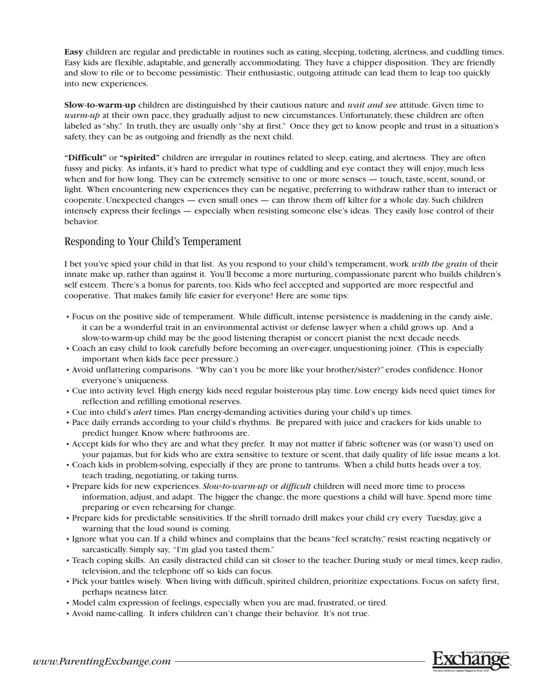**Easy** children are regular and predictable in routines such as eating, sleeping, toileting, alertness, and cuddling times. Easy kids are flexible, adaptable, and generally accommodating. They have a chipper disposition. They are friendly and slow to rile or to become pessimistic. Their enthusiastic, outgoing attitude can lead them to leap too quickly into new experiences.

**Slow-to-warm-up** children are distinguished by their cautious nature and *wait and see* attitude. Given time to *warm-up* at their own pace, they gradually adjust to new circumstances. Unfortunately, these children are often labeled as "shy." In truth, they are usually only "shy at first." Once they get to know people and trust in a situation's safety, they can be as outgoing and friendly as the next child.

**"Difficult"** or **"spirited"** children are irregular in routines related to sleep, eating, and alertness. They are often fussy and picky. As infants, it's hard to predict what type of cuddling and eye contact they will enjoy, much less when and for how long. They can be extremely sensitive to one or more senses — touch, taste, scent, sound, or light. When encountering new experiences they can be negative, preferring to withdraw rather than to interact or cooperate. Unexpected changes — even small ones — can throw them off kilter for a whole day. Such children intensely express their feelings — especially when resisting someone else's ideas. They easily lose control of their behavior.

#### Responding to Your Child's Temperament

I bet you've spied your child in that list. As you respond to your child's temperament, work *with the grain* of their innate make up, rather than against it. You'll become a more nurturing, compassionate parent who builds children's self esteem. There's a bonus for parents, too. Kids who feel accepted and supported are more respectful and cooperative. That makes family life easier for everyone! Here are some tips:

- Focus on the positive side of temperament. While difficult, intense persistence is maddening in the candy aisle, it can be a wonderful trait in an environmental activist or defense lawyer when a child grows up. And a slow-to-warm-up child may be the good listening therapist or concert pianist the next decade needs.
- Coach an easy child to look carefully before becoming an over-eager, unquestioning joiner. (This is especially important when kids face peer pressure.)
- Avoid unflattering comparisons. "Why can't you be more like your brother/sister?" erodes confidence. Honor everyone's uniqueness.
- Cue into activity level. High energy kids need regular boisterous play time. Low energy kids need quiet times for reflection and refilling emotional reserves.
- Cue into child's *alert* times. Plan energy-demanding activities during your child's up times.
- Pace daily errands according to your child's rhythms. Be prepared with juice and crackers for kids unable to predict hunger. Know where bathrooms are.
- Accept kids for who they are and what they prefer. It may not matter if fabric softener was (or wasn't) used on your pajamas, but for kids who are extra sensitive to texture or scent, that daily quality of life issue means a lot.
- Coach kids in problem-solving, especially if they are prone to tantrums. When a child butts heads over a toy, teach trading, negotiating, or taking turns.
- Prepare kids for new experiences. *Slow-to-warm-up* or *difficult* children will need more time to process information, adjust, and adapt. The bigger the change, the more questions a child will have. Spend more time preparing or even rehearsing for change.
- Prepare kids for predictable sensitivities. If the shrill tornado drill makes your child cry every Tuesday, give a warning that the loud sound is coming.
- Ignore what you can. If a child whines and complains that the beans "feel scratchy," resist reacting negatively or sarcastically. Simply say, "I'm glad you tasted them."
- Teach coping skills. An easily distracted child can sit closer to the teacher. During study or meal times, keep radio, television, and the telephone off so kids can focus.
- Pick your battles wisely. When living with difficult, spirited children, prioritize expectations. Focus on safety first, perhaps neatness later.
- Model calm expression of feelings, especially when you are mad, frustrated, or tired.
- Avoid name-calling. It infers children can't change their behavior. It's not true.